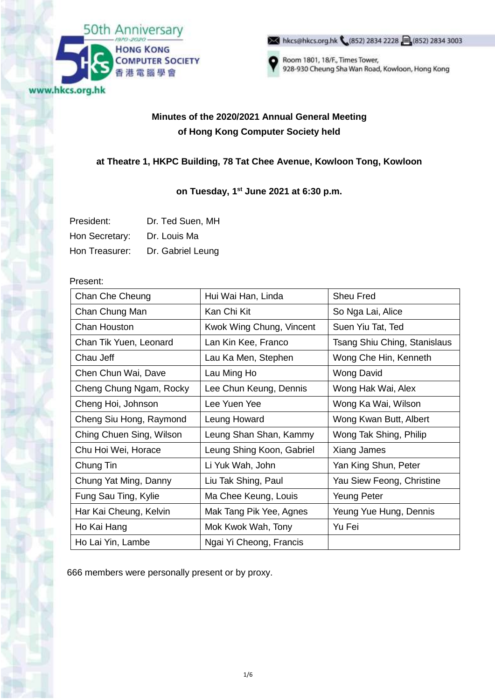

M hkcs@hkcs.org.hk (852) 2834 2228 3(852) 2834 3003



Room 1801, 18/F., Times Tower, 928-930 Cheung Sha Wan Road, Kowloon, Hong Kong

# **Minutes of the 2020/2021 Annual General Meeting of Hong Kong Computer Society held**

## **at Theatre 1, HKPC Building, 78 Tat Chee Avenue, Kowloon Tong, Kowloon**

### **on Tuesday, 1st June 2021 at 6:30 p.m.**

| President:     | Dr. Ted Suen, MH  |
|----------------|-------------------|
| Hon Secretary: | Dr. Louis Ma      |
| Hon Treasurer: | Dr. Gabriel Leung |

#### Present:

| Chan Che Cheung          | Hui Wai Han, Linda        | Sheu Fred                    |
|--------------------------|---------------------------|------------------------------|
| Chan Chung Man           | Kan Chi Kit               | So Nga Lai, Alice            |
| Chan Houston             | Kwok Wing Chung, Vincent  | Suen Yiu Tat, Ted            |
| Chan Tik Yuen, Leonard   | Lan Kin Kee, Franco       | Tsang Shiu Ching, Stanislaus |
| Chau Jeff                | Lau Ka Men, Stephen       | Wong Che Hin, Kenneth        |
| Chen Chun Wai, Dave      | Lau Ming Ho               | <b>Wong David</b>            |
| Cheng Chung Ngam, Rocky  | Lee Chun Keung, Dennis    | Wong Hak Wai, Alex           |
| Cheng Hoi, Johnson       | Lee Yuen Yee              | Wong Ka Wai, Wilson          |
| Cheng Siu Hong, Raymond  | Leung Howard              | Wong Kwan Butt, Albert       |
| Ching Chuen Sing, Wilson | Leung Shan Shan, Kammy    | Wong Tak Shing, Philip       |
| Chu Hoi Wei, Horace      | Leung Shing Koon, Gabriel | Xiang James                  |
| Chung Tin                | Li Yuk Wah, John          | Yan King Shun, Peter         |
| Chung Yat Ming, Danny    | Liu Tak Shing, Paul       | Yau Siew Feong, Christine    |
| Fung Sau Ting, Kylie     | Ma Chee Keung, Louis      | Yeung Peter                  |
| Har Kai Cheung, Kelvin   | Mak Tang Pik Yee, Agnes   | Yeung Yue Hung, Dennis       |
| Ho Kai Hang              | Mok Kwok Wah, Tony        | Yu Fei                       |
| Ho Lai Yin, Lambe        | Ngai Yi Cheong, Francis   |                              |

666 members were personally present or by proxy.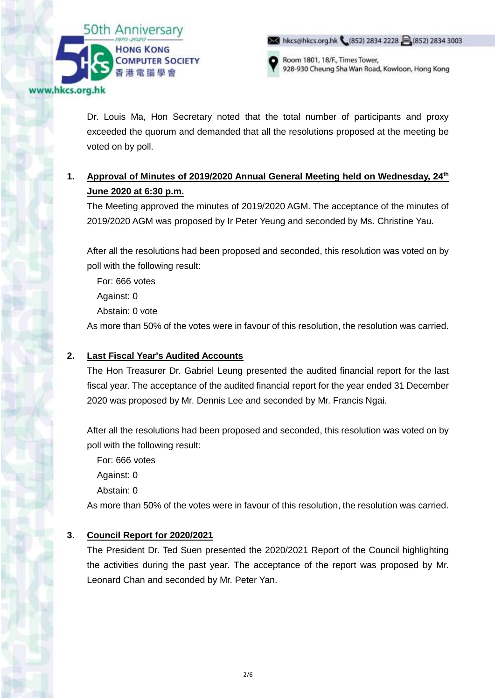

hkcs@hkcs.org.hk (852) 2834 2228 (852) 2834 3003



Room 1801, 18/F., Times Tower, 928-930 Cheung Sha Wan Road, Kowloon, Hong Kong

Dr. Louis Ma, Hon Secretary noted that the total number of participants and proxy exceeded the quorum and demanded that all the resolutions proposed at the meeting be voted on by poll.

# **1. Approval of Minutes of 2019/2020 Annual General Meeting held on Wednesday, 24th June 2020 at 6:30 p.m.**

The Meeting approved the minutes of 2019/2020 AGM. The acceptance of the minutes of 2019/2020 AGM was proposed by Ir Peter Yeung and seconded by Ms. Christine Yau.

After all the resolutions had been proposed and seconded, this resolution was voted on by poll with the following result:

For: 666 votes

Against: 0

Abstain: 0 vote

As more than 50% of the votes were in favour of this resolution, the resolution was carried.

### **2. Last Fiscal Year's Audited Accounts**

The Hon Treasurer Dr. Gabriel Leung presented the audited financial report for the last fiscal year. The acceptance of the audited financial report for the year ended 31 December 2020 was proposed by Mr. Dennis Lee and seconded by Mr. Francis Ngai.

After all the resolutions had been proposed and seconded, this resolution was voted on by poll with the following result:

For: 666 votes

Against: 0

Abstain: 0

As more than 50% of the votes were in favour of this resolution, the resolution was carried.

### **3. Council Report for 2020/2021**

The President Dr. Ted Suen presented the 2020/2021 Report of the Council highlighting the activities during the past year. The acceptance of the report was proposed by Mr. Leonard Chan and seconded by Mr. Peter Yan.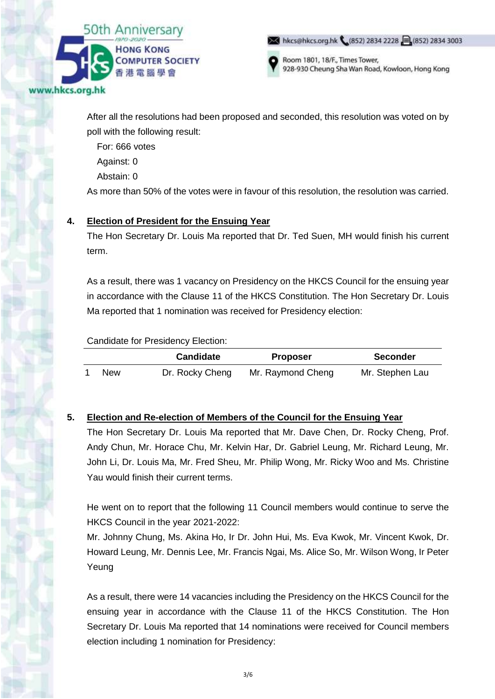

hkcs@hkcs.org.hk (852) 2834 2228 (852) 2834 3003



Room 1801, 18/F., Times Tower, 928-930 Cheung Sha Wan Road, Kowloon, Hong Kong

After all the resolutions had been proposed and seconded, this resolution was voted on by poll with the following result:

For: 666 votes

Against: 0

Abstain: 0

As more than 50% of the votes were in favour of this resolution, the resolution was carried.

### **4. Election of President for the Ensuing Year**

The Hon Secretary Dr. Louis Ma reported that Dr. Ted Suen, MH would finish his current term.

As a result, there was 1 vacancy on Presidency on the HKCS Council for the ensuing year in accordance with the Clause 11 of the HKCS Constitution. The Hon Secretary Dr. Louis Ma reported that 1 nomination was received for Presidency election:

Candidate for Presidency Election:

|            | <b>Candidate</b> | <b>Proposer</b>   | <b>Seconder</b> |
|------------|------------------|-------------------|-----------------|
| <b>New</b> | Dr. Rocky Cheng  | Mr. Raymond Cheng | Mr. Stephen Lau |

## **5. Election and Re-election of Members of the Council for the Ensuing Year**

The Hon Secretary Dr. Louis Ma reported that Mr. Dave Chen, Dr. Rocky Cheng, Prof. Andy Chun, Mr. Horace Chu, Mr. Kelvin Har, Dr. Gabriel Leung, Mr. Richard Leung, Mr. John Li, Dr. Louis Ma, Mr. Fred Sheu, Mr. Philip Wong, Mr. Ricky Woo and Ms. Christine Yau would finish their current terms.

He went on to report that the following 11 Council members would continue to serve the HKCS Council in the year 2021-2022:

Mr. Johnny Chung, Ms. Akina Ho, Ir Dr. John Hui, Ms. Eva Kwok, Mr. Vincent Kwok, Dr. Howard Leung, Mr. Dennis Lee, Mr. Francis Ngai, Ms. Alice So, Mr. Wilson Wong, Ir Peter Yeung

As a result, there were 14 vacancies including the Presidency on the HKCS Council for the ensuing year in accordance with the Clause 11 of the HKCS Constitution. The Hon Secretary Dr. Louis Ma reported that 14 nominations were received for Council members election including 1 nomination for Presidency: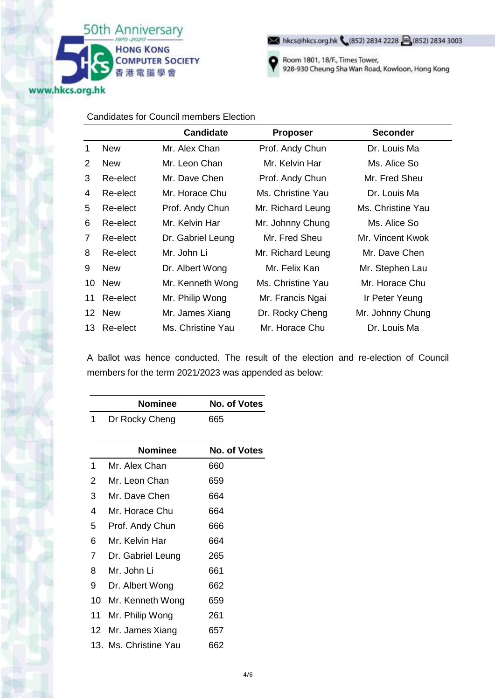

hkcs@hkcs.org.hk (852) 2834 2228 3 (852) 2834 3003



Room 1801, 18/F., Times Tower, 928-930 Cheung Sha Wan Road, Kowloon, Hong Kong

#### Candidates for Council members Election

|    |            | <b>Candidate</b>  | <b>Proposer</b>   | <b>Seconder</b>   |
|----|------------|-------------------|-------------------|-------------------|
| 1  | <b>New</b> | Mr. Alex Chan     | Prof. Andy Chun   | Dr. Louis Ma      |
| 2  | <b>New</b> | Mr. Leon Chan     | Mr. Kelvin Har    | Ms. Alice So      |
| 3  | Re-elect   | Mr. Dave Chen     | Prof. Andy Chun   | Mr. Fred Sheu     |
| 4  | Re-elect   | Mr. Horace Chu    | Ms. Christine Yau | Dr. Louis Ma      |
| 5  | Re-elect   | Prof. Andy Chun   | Mr. Richard Leung | Ms. Christine Yau |
| 6  | Re-elect   | Mr. Kelvin Har    | Mr. Johnny Chung  | Ms. Alice So      |
| 7  | Re-elect   | Dr. Gabriel Leung | Mr. Fred Sheu     | Mr. Vincent Kwok  |
| 8  | Re-elect   | Mr. John Li       | Mr. Richard Leung | Mr. Dave Chen     |
| 9  | <b>New</b> | Dr. Albert Wong   | Mr. Felix Kan     | Mr. Stephen Lau   |
| 10 | <b>New</b> | Mr. Kenneth Wong  | Ms. Christine Yau | Mr. Horace Chu    |
| 11 | Re-elect   | Mr. Philip Wong   | Mr. Francis Ngai  | Ir Peter Yeung    |
|    | 12 New     | Mr. James Xiang   | Dr. Rocky Cheng   | Mr. Johnny Chung  |
| 13 | Re-elect   | Ms. Christine Yau | Mr. Horace Chu    | Dr. Louis Ma      |

A ballot was hence conducted. The result of the election and re-election of Council members for the term 2021/2023 was appended as below:

|    | <b>Nominee</b>        | No. of Votes        |
|----|-----------------------|---------------------|
| 1  | Dr Rocky Cheng        | 665                 |
|    |                       |                     |
|    | <b>Nominee</b>        | <b>No. of Votes</b> |
| 1  | Mr. Alex Chan         | 660                 |
| 2  | Mr. Leon Chan         | 659                 |
| 3  | Mr. Dave Chen         | 664                 |
| 4  | Mr. Horace Chu        | 664                 |
| 5  | Prof. Andy Chun       | 666                 |
| 6  | Mr. Kelvin Har        | 664                 |
| 7  | Dr. Gabriel Leung     | 265                 |
| 8  | Mr. John Li           | 661                 |
| 9  | Dr. Albert Wong       | 662                 |
| 10 | Mr. Kenneth Wong      | 659                 |
| 11 | Mr. Philip Wong       | 261                 |
| 12 | Mr. James Xiang       | 657                 |
|    | 13. Ms. Christine Yau | 662                 |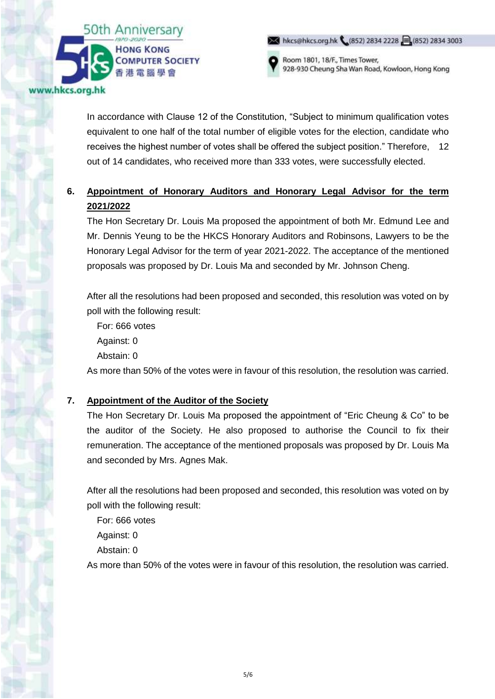

Room 1801, 18/F., Times Tower, 928-930 Cheung Sha Wan Road, Kowloon, Hong Kong

hkcs@hkcs.org.hk (852) 2834 2228 (852) 2834 3003

In accordance with Clause 12 of the Constitution, "Subject to minimum qualification votes equivalent to one half of the total number of eligible votes for the election, candidate who receives the highest number of votes shall be offered the subject position." Therefore, 12 out of 14 candidates, who received more than 333 votes, were successfully elected.

# **6. Appointment of Honorary Auditors and Honorary Legal Advisor for the term 2021/2022**

The Hon Secretary Dr. Louis Ma proposed the appointment of both Mr. Edmund Lee and Mr. Dennis Yeung to be the HKCS Honorary Auditors and Robinsons, Lawyers to be the Honorary Legal Advisor for the term of year 2021-2022. The acceptance of the mentioned proposals was proposed by Dr. Louis Ma and seconded by Mr. Johnson Cheng.

After all the resolutions had been proposed and seconded, this resolution was voted on by poll with the following result:

For: 666 votes Against: 0

Abstain: 0

As more than 50% of the votes were in favour of this resolution, the resolution was carried.

## **7. Appointment of the Auditor of the Society**

The Hon Secretary Dr. Louis Ma proposed the appointment of "Eric Cheung & Co" to be the auditor of the Society. He also proposed to authorise the Council to fix their remuneration. The acceptance of the mentioned proposals was proposed by Dr. Louis Ma and seconded by Mrs. Agnes Mak.

After all the resolutions had been proposed and seconded, this resolution was voted on by poll with the following result:

For: 666 votes

Against: 0

Abstain: 0

As more than 50% of the votes were in favour of this resolution, the resolution was carried.